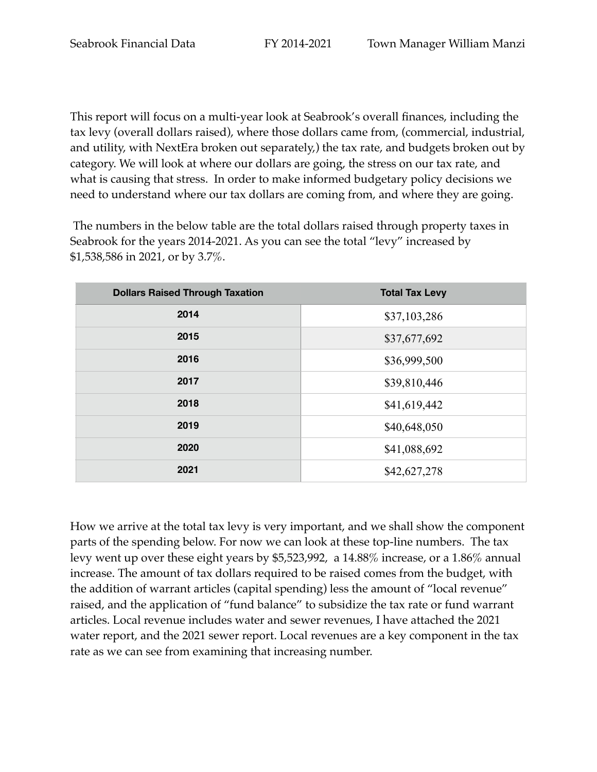This report will focus on a multi-year look at Seabrook's overall finances, including the tax levy (overall dollars raised), where those dollars came from, (commercial, industrial, and utility, with NextEra broken out separately,) the tax rate, and budgets broken out by category. We will look at where our dollars are going, the stress on our tax rate, and what is causing that stress. In order to make informed budgetary policy decisions we need to understand where our tax dollars are coming from, and where they are going.

 The numbers in the below table are the total dollars raised through property taxes in Seabrook for the years 2014-2021. As you can see the total "levy" increased by \$1,538,586 in 2021, or by 3.7%.

| <b>Dollars Raised Through Taxation</b> | <b>Total Tax Levy</b> |
|----------------------------------------|-----------------------|
| 2014                                   | \$37,103,286          |
| 2015                                   | \$37,677,692          |
| 2016                                   | \$36,999,500          |
| 2017                                   | \$39,810,446          |
| 2018                                   | \$41,619,442          |
| 2019                                   | \$40,648,050          |
| 2020                                   | \$41,088,692          |
| 2021                                   | \$42,627,278          |

How we arrive at the total tax levy is very important, and we shall show the component parts of the spending below. For now we can look at these top-line numbers. The tax levy went up over these eight years by \$5,523,992, a 14.88% increase, or a 1.86% annual increase. The amount of tax dollars required to be raised comes from the budget, with the addition of warrant articles (capital spending) less the amount of "local revenue" raised, and the application of "fund balance" to subsidize the tax rate or fund warrant articles. Local revenue includes water and sewer revenues, I have attached the 2021 water report, and the 2021 sewer report. Local revenues are a key component in the tax rate as we can see from examining that increasing number.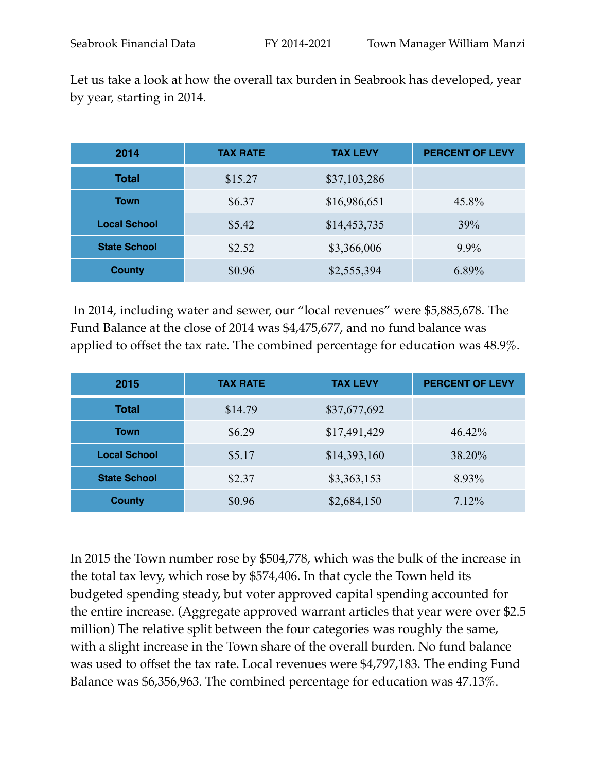| 2014                | <b>TAX RATE</b> | <b>TAX LEVY</b> | <b>PERCENT OF LEVY</b> |
|---------------------|-----------------|-----------------|------------------------|
| <b>Total</b>        | \$15.27         | \$37,103,286    |                        |
| <b>Town</b>         | \$6.37          | \$16,986,651    | 45.8%                  |
| <b>Local School</b> | \$5.42          | \$14,453,735    | 39%                    |
| <b>State School</b> | \$2.52          | \$3,366,006     | $9.9\%$                |
| <b>County</b>       | \$0.96          | \$2,555,394     | 6.89%                  |

 In 2014, including water and sewer, our "local revenues" were \$5,885,678. The Fund Balance at the close of 2014 was \$4,475,677, and no fund balance was applied to offset the tax rate. The combined percentage for education was 48.9%.

| 2015                | <b>TAX RATE</b> | <b>TAX LEVY</b> | <b>PERCENT OF LEVY</b> |
|---------------------|-----------------|-----------------|------------------------|
| Total               | \$14.79         | \$37,677,692    |                        |
| <b>Town</b>         | \$6.29          | \$17,491,429    | 46.42%                 |
| <b>Local School</b> | \$5.17          | \$14,393,160    | 38.20%                 |
| <b>State School</b> | \$2.37          | \$3,363,153     | 8.93%                  |
| <b>County</b>       | \$0.96          | \$2,684,150     | 7.12%                  |

In 2015 the Town number rose by \$504,778, which was the bulk of the increase in the total tax levy, which rose by \$574,406. In that cycle the Town held its budgeted spending steady, but voter approved capital spending accounted for the entire increase. (Aggregate approved warrant articles that year were over \$2.5 million) The relative split between the four categories was roughly the same, with a slight increase in the Town share of the overall burden. No fund balance was used to offset the tax rate. Local revenues were \$4,797,183. The ending Fund Balance was \$6,356,963. The combined percentage for education was 47.13%.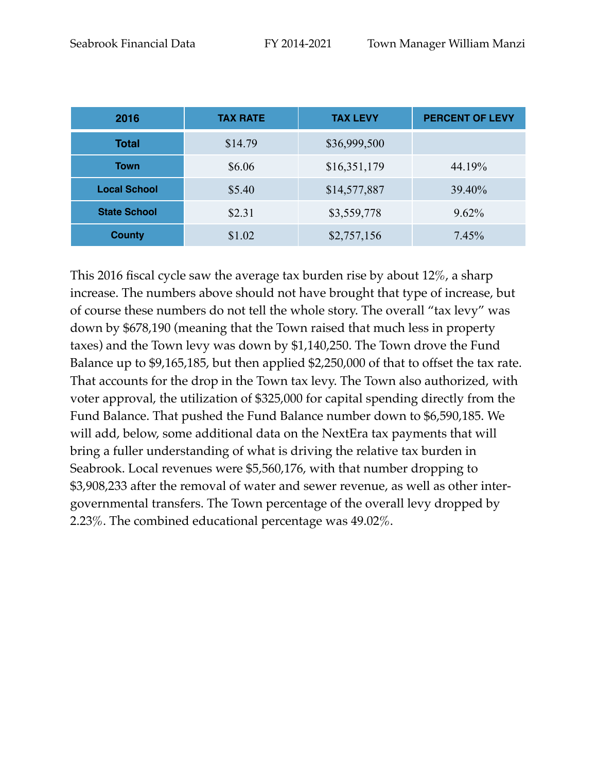| 2016                | <b>TAX RATE</b> | <b>TAX LEVY</b> | <b>PERCENT OF LEVY</b> |
|---------------------|-----------------|-----------------|------------------------|
| <b>Total</b>        | \$14.79         | \$36,999,500    |                        |
| <b>Town</b>         | \$6.06          | \$16,351,179    | 44.19%                 |
| <b>Local School</b> | \$5.40          | \$14,577,887    | 39.40%                 |
| <b>State School</b> | \$2.31          | \$3,559,778     | $9.62\%$               |
| <b>County</b>       | \$1.02          | \$2,757,156     | 7.45%                  |

This 2016 fiscal cycle saw the average tax burden rise by about 12%, a sharp increase. The numbers above should not have brought that type of increase, but of course these numbers do not tell the whole story. The overall "tax levy" was down by \$678,190 (meaning that the Town raised that much less in property taxes) and the Town levy was down by \$1,140,250. The Town drove the Fund Balance up to \$9,165,185, but then applied \$2,250,000 of that to offset the tax rate. That accounts for the drop in the Town tax levy. The Town also authorized, with voter approval, the utilization of \$325,000 for capital spending directly from the Fund Balance. That pushed the Fund Balance number down to \$6,590,185. We will add, below, some additional data on the NextEra tax payments that will bring a fuller understanding of what is driving the relative tax burden in Seabrook. Local revenues were \$5,560,176, with that number dropping to \$3,908,233 after the removal of water and sewer revenue, as well as other intergovernmental transfers. The Town percentage of the overall levy dropped by 2.23%. The combined educational percentage was 49.02%.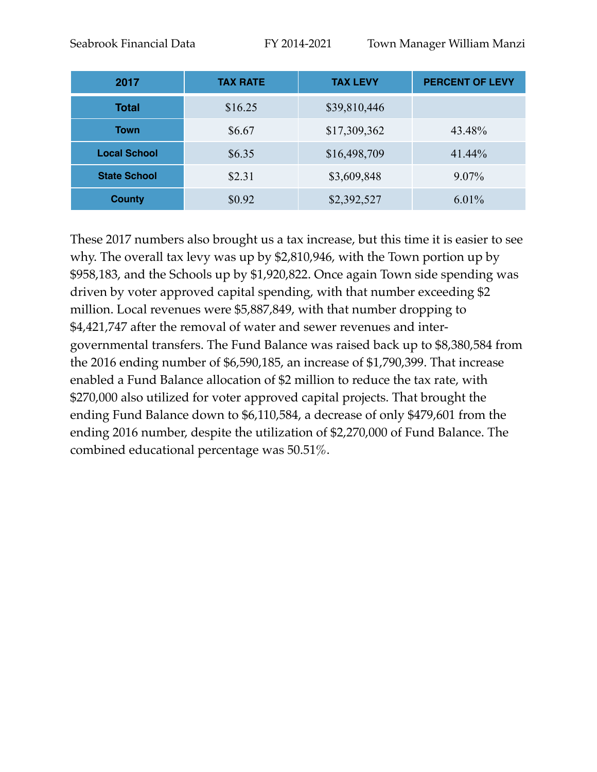| 2017                | <b>TAX RATE</b> | <b>TAX LEVY</b> | <b>PERCENT OF LEVY</b> |
|---------------------|-----------------|-----------------|------------------------|
| <b>Total</b>        | \$16.25         | \$39,810,446    |                        |
| <b>Town</b>         | \$6.67          | \$17,309,362    | 43.48%                 |
| <b>Local School</b> | \$6.35          | \$16,498,709    | 41.44%                 |
| <b>State School</b> | \$2.31          | \$3,609,848     | $9.07\%$               |
| <b>County</b>       | \$0.92          | \$2,392,527     | $6.01\%$               |

These 2017 numbers also brought us a tax increase, but this time it is easier to see why. The overall tax levy was up by \$2,810,946, with the Town portion up by \$958,183, and the Schools up by \$1,920,822. Once again Town side spending was driven by voter approved capital spending, with that number exceeding \$2 million. Local revenues were \$5,887,849, with that number dropping to \$4,421,747 after the removal of water and sewer revenues and intergovernmental transfers. The Fund Balance was raised back up to \$8,380,584 from the 2016 ending number of \$6,590,185, an increase of \$1,790,399. That increase enabled a Fund Balance allocation of \$2 million to reduce the tax rate, with \$270,000 also utilized for voter approved capital projects. That brought the ending Fund Balance down to \$6,110,584, a decrease of only \$479,601 from the ending 2016 number, despite the utilization of \$2,270,000 of Fund Balance. The combined educational percentage was 50.51%.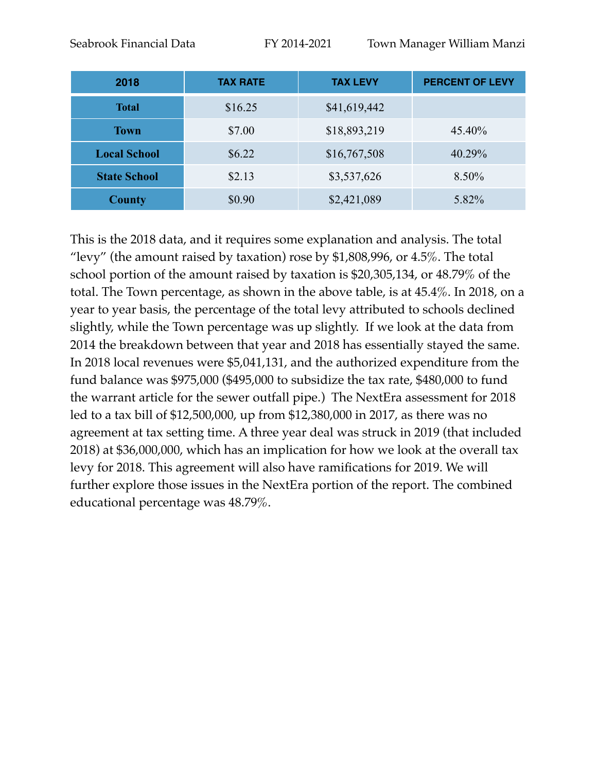| 2018                | <b>TAX RATE</b> | <b>TAX LEVY</b> | <b>PERCENT OF LEVY</b> |
|---------------------|-----------------|-----------------|------------------------|
| <b>Total</b>        | \$16.25         | \$41,619,442    |                        |
| <b>Town</b>         | \$7.00          | \$18,893,219    | 45.40%                 |
| <b>Local School</b> | \$6.22          | \$16,767,508    | 40.29%                 |
| <b>State School</b> | \$2.13          | \$3,537,626     | 8.50%                  |
| <b>County</b>       | \$0.90          | \$2,421,089     | 5.82%                  |

This is the 2018 data, and it requires some explanation and analysis. The total "levy" (the amount raised by taxation) rose by \$1,808,996, or  $4.5\%$ . The total school portion of the amount raised by taxation is \$20,305,134, or 48.79% of the total. The Town percentage, as shown in the above table, is at 45.4%. In 2018, on a year to year basis, the percentage of the total levy attributed to schools declined slightly, while the Town percentage was up slightly. If we look at the data from 2014 the breakdown between that year and 2018 has essentially stayed the same. In 2018 local revenues were \$5,041,131, and the authorized expenditure from the fund balance was \$975,000 (\$495,000 to subsidize the tax rate, \$480,000 to fund the warrant article for the sewer outfall pipe.) The NextEra assessment for 2018 led to a tax bill of \$12,500,000, up from \$12,380,000 in 2017, as there was no agreement at tax setting time. A three year deal was struck in 2019 (that included 2018) at \$36,000,000, which has an implication for how we look at the overall tax levy for 2018. This agreement will also have ramifications for 2019. We will further explore those issues in the NextEra portion of the report. The combined educational percentage was 48.79%.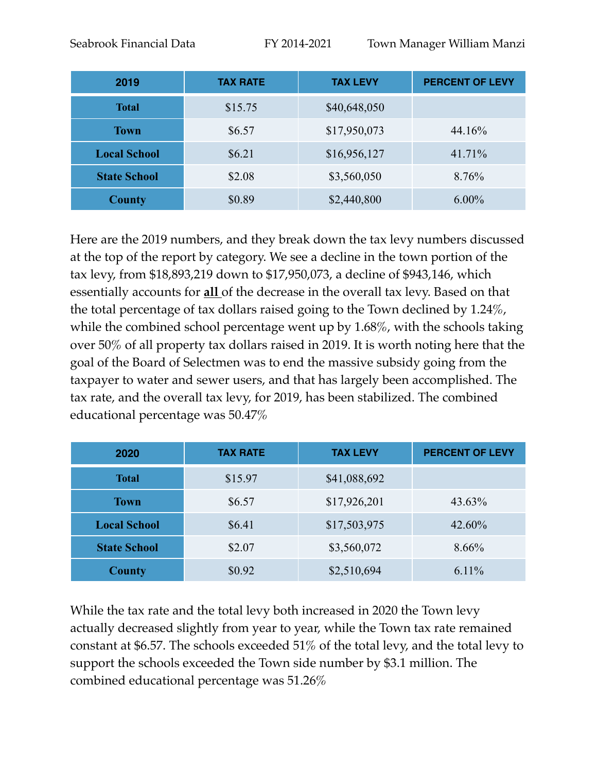| 2019                | <b>TAX RATE</b> | <b>TAX LEVY</b> | <b>PERCENT OF LEVY</b> |
|---------------------|-----------------|-----------------|------------------------|
| <b>Total</b>        | \$15.75         | \$40,648,050    |                        |
| <b>Town</b>         | \$6.57          | \$17,950,073    | 44.16%                 |
| <b>Local School</b> | \$6.21          | \$16,956,127    | 41.71%                 |
| <b>State School</b> | \$2.08          | \$3,560,050     | 8.76%                  |
| <b>County</b>       | \$0.89          | \$2,440,800     | $6.00\%$               |

Here are the 2019 numbers, and they break down the tax levy numbers discussed at the top of the report by category. We see a decline in the town portion of the tax levy, from \$18,893,219 down to \$17,950,073, a decline of \$943,146, which essentially accounts for **all** of the decrease in the overall tax levy. Based on that the total percentage of tax dollars raised going to the Town declined by 1.24%, while the combined school percentage went up by 1.68%, with the schools taking over 50% of all property tax dollars raised in 2019. It is worth noting here that the goal of the Board of Selectmen was to end the massive subsidy going from the taxpayer to water and sewer users, and that has largely been accomplished. The tax rate, and the overall tax levy, for 2019, has been stabilized. The combined educational percentage was 50.47%

| 2020                | <b>TAX RATE</b> | <b>TAX LEVY</b> | <b>PERCENT OF LEVY</b> |
|---------------------|-----------------|-----------------|------------------------|
| <b>Total</b>        | \$15.97         | \$41,088,692    |                        |
| <b>Town</b>         | \$6.57          | \$17,926,201    | 43.63%                 |
| <b>Local School</b> | \$6.41          | \$17,503,975    | 42.60%                 |
| <b>State School</b> | \$2.07          | \$3,560,072     | 8.66%                  |
| <b>County</b>       | \$0.92          | \$2,510,694     | 6.11%                  |

While the tax rate and the total levy both increased in 2020 the Town levy actually decreased slightly from year to year, while the Town tax rate remained constant at \$6.57. The schools exceeded 51% of the total levy, and the total levy to support the schools exceeded the Town side number by \$3.1 million. The combined educational percentage was 51.26%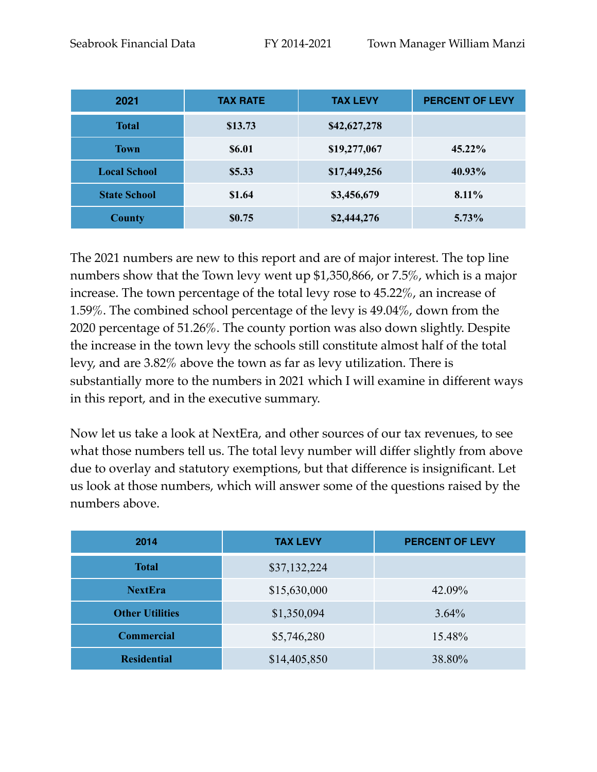| 2021                | <b>TAX RATE</b> | <b>TAX LEVY</b> | <b>PERCENT OF LEVY</b> |
|---------------------|-----------------|-----------------|------------------------|
| <b>Total</b>        | \$13.73         | \$42,627,278    |                        |
| <b>Town</b>         | \$6.01          | \$19,277,067    | 45.22%                 |
| <b>Local School</b> | \$5.33          | \$17,449,256    | 40.93%                 |
| <b>State School</b> | \$1.64          | \$3,456,679     | 8.11%                  |
| <b>County</b>       | \$0.75          | \$2,444,276     | $5.73\%$               |

The 2021 numbers are new to this report and are of major interest. The top line numbers show that the Town levy went up \$1,350,866, or 7.5%, which is a major increase. The town percentage of the total levy rose to 45.22%, an increase of 1.59%. The combined school percentage of the levy is 49.04%, down from the 2020 percentage of 51.26%. The county portion was also down slightly. Despite the increase in the town levy the schools still constitute almost half of the total levy, and are 3.82% above the town as far as levy utilization. There is substantially more to the numbers in 2021 which I will examine in different ways in this report, and in the executive summary.

Now let us take a look at NextEra, and other sources of our tax revenues, to see what those numbers tell us. The total levy number will differ slightly from above due to overlay and statutory exemptions, but that difference is insignificant. Let us look at those numbers, which will answer some of the questions raised by the numbers above.

| 2014                   | <b>TAX LEVY</b> | <b>PERCENT OF LEVY</b> |
|------------------------|-----------------|------------------------|
| <b>Total</b>           | \$37,132,224    |                        |
| <b>NextEra</b>         | \$15,630,000    | 42.09%                 |
| <b>Other Utilities</b> | \$1,350,094     | 3.64%                  |
| <b>Commercial</b>      | \$5,746,280     | 15.48%                 |
| <b>Residential</b>     | \$14,405,850    | 38.80%                 |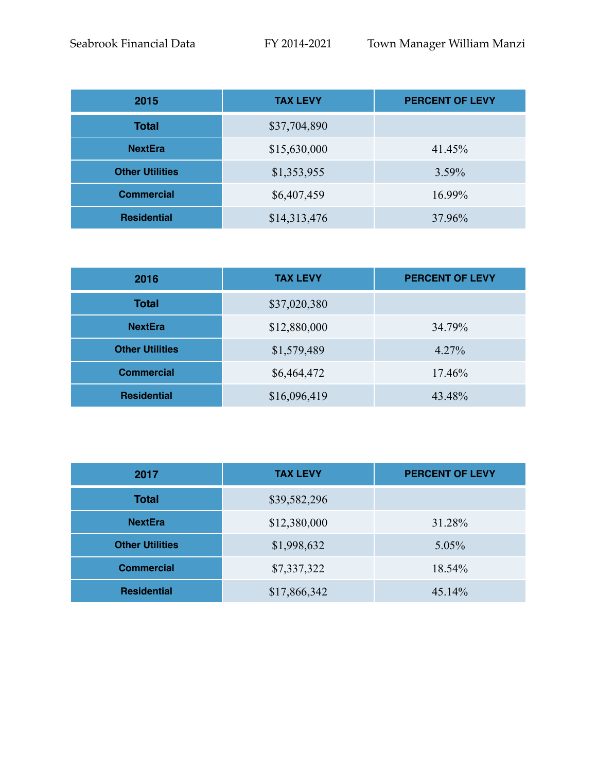| 2015                   | <b>TAX LEVY</b> | <b>PERCENT OF LEVY</b> |
|------------------------|-----------------|------------------------|
| <b>Total</b>           | \$37,704,890    |                        |
| <b>NextEra</b>         | \$15,630,000    | 41.45%                 |
| <b>Other Utilities</b> | \$1,353,955     | 3.59%                  |
| <b>Commercial</b>      | \$6,407,459     | 16.99%                 |
| <b>Residential</b>     | \$14,313,476    | 37.96%                 |

| 2016                   | <b>TAX LEVY</b> | <b>PERCENT OF LEVY</b> |
|------------------------|-----------------|------------------------|
| <b>Total</b>           | \$37,020,380    |                        |
| <b>NextEra</b>         | \$12,880,000    | 34.79%                 |
| <b>Other Utilities</b> | \$1,579,489     | 4.27%                  |
| <b>Commercial</b>      | \$6,464,472     | 17.46%                 |
| <b>Residential</b>     | \$16,096,419    | 43.48%                 |

| 2017                   | <b>TAX LEVY</b> | <b>PERCENT OF LEVY</b> |
|------------------------|-----------------|------------------------|
| <b>Total</b>           | \$39,582,296    |                        |
| <b>NextEra</b>         | \$12,380,000    | 31.28%                 |
| <b>Other Utilities</b> | \$1,998,632     | 5.05%                  |
| <b>Commercial</b>      | \$7,337,322     | 18.54%                 |
| <b>Residential</b>     | \$17,866,342    | 45.14%                 |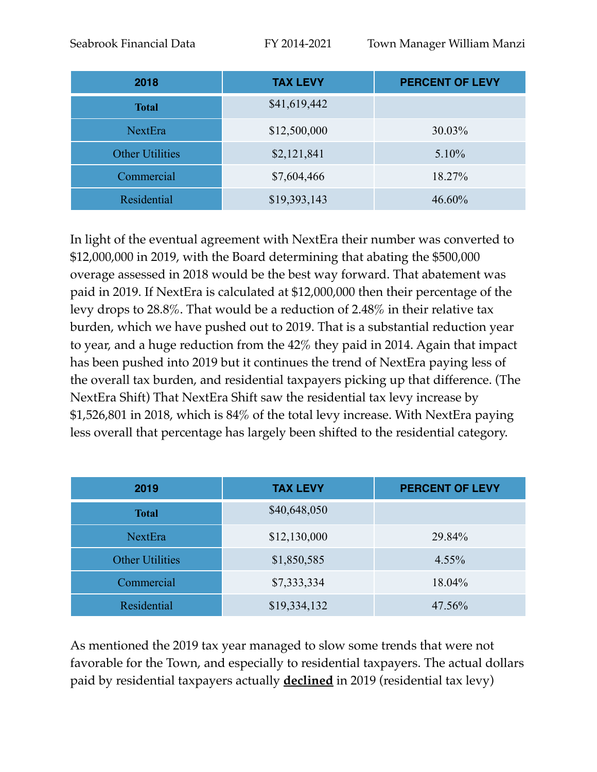| 2018                   | <b>TAX LEVY</b> | <b>PERCENT OF LEVY</b> |
|------------------------|-----------------|------------------------|
| <b>Total</b>           | \$41,619,442    |                        |
| NextEra                | \$12,500,000    | 30.03%                 |
| <b>Other Utilities</b> | \$2,121,841     | 5.10%                  |
| Commercial             | \$7,604,466     | 18.27%                 |
| Residential            | \$19,393,143    | 46.60%                 |

In light of the eventual agreement with NextEra their number was converted to \$12,000,000 in 2019, with the Board determining that abating the \$500,000 overage assessed in 2018 would be the best way forward. That abatement was paid in 2019. If NextEra is calculated at \$12,000,000 then their percentage of the levy drops to 28.8%. That would be a reduction of 2.48% in their relative tax burden, which we have pushed out to 2019. That is a substantial reduction year to year, and a huge reduction from the 42% they paid in 2014. Again that impact has been pushed into 2019 but it continues the trend of NextEra paying less of the overall tax burden, and residential taxpayers picking up that difference. (The NextEra Shift) That NextEra Shift saw the residential tax levy increase by \$1,526,801 in 2018, which is 84% of the total levy increase. With NextEra paying less overall that percentage has largely been shifted to the residential category.

| 2019                   | <b>TAX LEVY</b> | <b>PERCENT OF LEVY</b> |
|------------------------|-----------------|------------------------|
| <b>Total</b>           | \$40,648,050    |                        |
| NextEra                | \$12,130,000    | 29.84%                 |
| <b>Other Utilities</b> | \$1,850,585     | 4.55%                  |
| Commercial             | \$7,333,334     | 18.04%                 |
| Residential            | \$19,334,132    | 47.56%                 |

As mentioned the 2019 tax year managed to slow some trends that were not favorable for the Town, and especially to residential taxpayers. The actual dollars paid by residential taxpayers actually **declined** in 2019 (residential tax levy)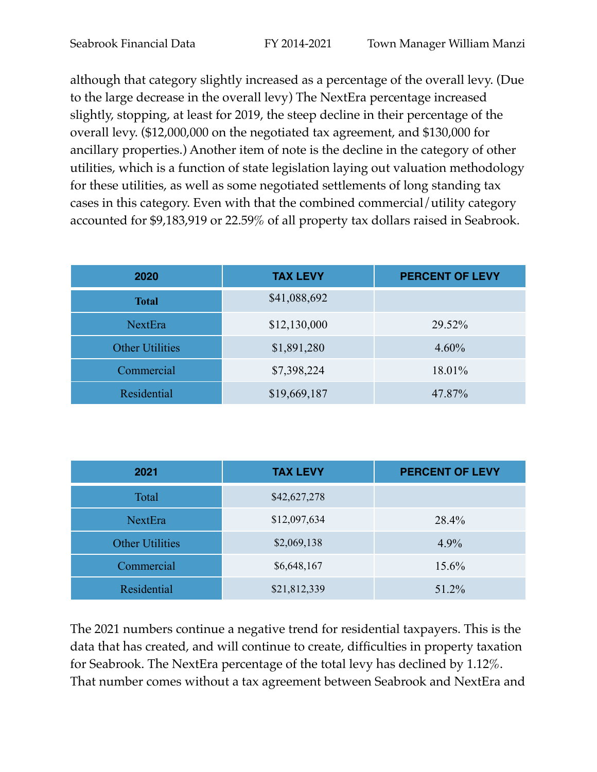although that category slightly increased as a percentage of the overall levy. (Due to the large decrease in the overall levy) The NextEra percentage increased slightly, stopping, at least for 2019, the steep decline in their percentage of the overall levy. (\$12,000,000 on the negotiated tax agreement, and \$130,000 for ancillary properties.) Another item of note is the decline in the category of other utilities, which is a function of state legislation laying out valuation methodology for these utilities, as well as some negotiated settlements of long standing tax cases in this category. Even with that the combined commercial/utility category accounted for \$9,183,919 or 22.59% of all property tax dollars raised in Seabrook.

| 2020                   | <b>TAX LEVY</b> | <b>PERCENT OF LEVY</b> |
|------------------------|-----------------|------------------------|
| <b>Total</b>           | \$41,088,692    |                        |
| <b>NextEra</b>         | \$12,130,000    | 29.52%                 |
| <b>Other Utilities</b> | \$1,891,280     | 4.60%                  |
| Commercial             | \$7,398,224     | 18.01%                 |
| Residential            | \$19,669,187    | 47.87%                 |

| 2021                   | <b>TAX LEVY</b> | <b>PERCENT OF LEVY</b> |
|------------------------|-----------------|------------------------|
| Total                  | \$42,627,278    |                        |
| <b>NextEra</b>         | \$12,097,634    | 28.4%                  |
| <b>Other Utilities</b> | \$2,069,138     | $4.9\%$                |
| Commercial             | \$6,648,167     | 15.6%                  |
| Residential            | \$21,812,339    | 51.2%                  |

The 2021 numbers continue a negative trend for residential taxpayers. This is the data that has created, and will continue to create, difficulties in property taxation for Seabrook. The NextEra percentage of the total levy has declined by 1.12%. That number comes without a tax agreement between Seabrook and NextEra and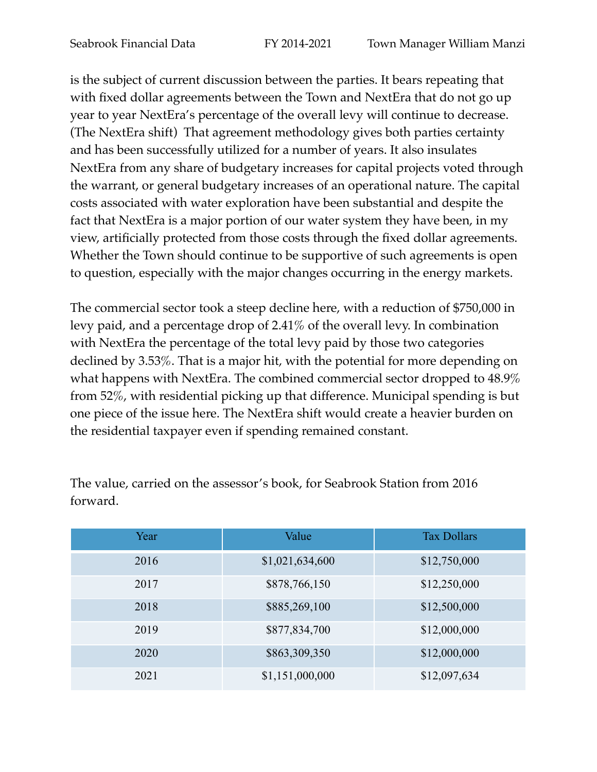is the subject of current discussion between the parties. It bears repeating that with fixed dollar agreements between the Town and NextEra that do not go up year to year NextEra's percentage of the overall levy will continue to decrease. (The NextEra shift) That agreement methodology gives both parties certainty and has been successfully utilized for a number of years. It also insulates NextEra from any share of budgetary increases for capital projects voted through the warrant, or general budgetary increases of an operational nature. The capital costs associated with water exploration have been substantial and despite the fact that NextEra is a major portion of our water system they have been, in my view, artificially protected from those costs through the fixed dollar agreements. Whether the Town should continue to be supportive of such agreements is open to question, especially with the major changes occurring in the energy markets.

The commercial sector took a steep decline here, with a reduction of \$750,000 in levy paid, and a percentage drop of 2.41% of the overall levy. In combination with NextEra the percentage of the total levy paid by those two categories declined by 3.53%. That is a major hit, with the potential for more depending on what happens with NextEra. The combined commercial sector dropped to 48.9% from 52%, with residential picking up that difference. Municipal spending is but one piece of the issue here. The NextEra shift would create a heavier burden on the residential taxpayer even if spending remained constant.

| Year | Value           | <b>Tax Dollars</b> |
|------|-----------------|--------------------|
| 2016 | \$1,021,634,600 | \$12,750,000       |
| 2017 | \$878,766,150   | \$12,250,000       |
| 2018 | \$885,269,100   | \$12,500,000       |
| 2019 | \$877,834,700   | \$12,000,000       |
| 2020 | \$863,309,350   | \$12,000,000       |
| 2021 | \$1,151,000,000 | \$12,097,634       |

The value, carried on the assessor's book, for Seabrook Station from 2016 forward.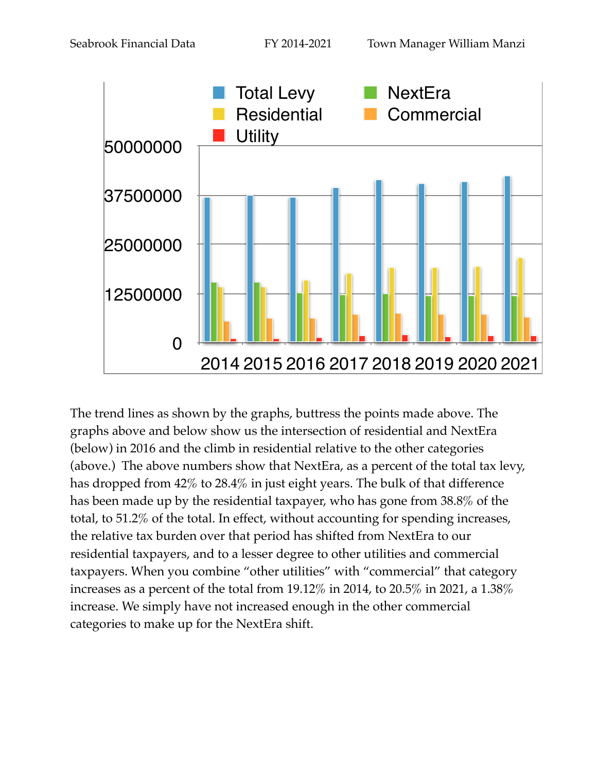

The trend lines as shown by the graphs, buttress the points made above. The graphs above and below show us the intersection of residential and NextEra (below) in 2016 and the climb in residential relative to the other categories (above.) The above numbers show that NextEra, as a percent of the total tax levy, has dropped from 42% to 28.4% in just eight years. The bulk of that difference has been made up by the residential taxpayer, who has gone from 38.8% of the total, to 51.2% of the total. In effect, without accounting for spending increases, the relative tax burden over that period has shifted from NextEra to our residential taxpayers, and to a lesser degree to other utilities and commercial taxpayers. When you combine "other utilities" with "commercial" that category increases as a percent of the total from 19.12% in 2014, to 20.5% in 2021, a 1.38% increase. We simply have not increased enough in the other commercial categories to make up for the NextEra shift.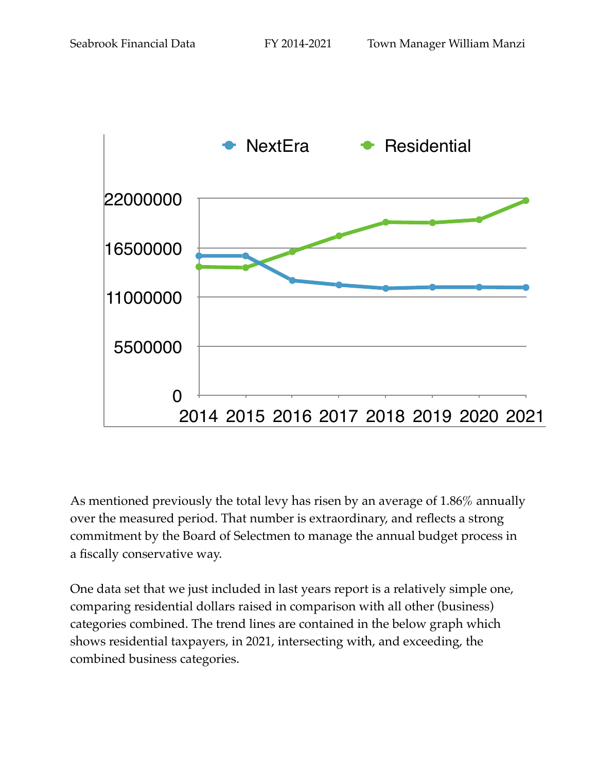

As mentioned previously the total levy has risen by an average of 1.86% annually over the measured period. That number is extraordinary, and reflects a strong commitment by the Board of Selectmen to manage the annual budget process in a fiscally conservative way.

One data set that we just included in last years report is a relatively simple one, comparing residential dollars raised in comparison with all other (business) categories combined. The trend lines are contained in the below graph which shows residential taxpayers, in 2021, intersecting with, and exceeding, the combined business categories.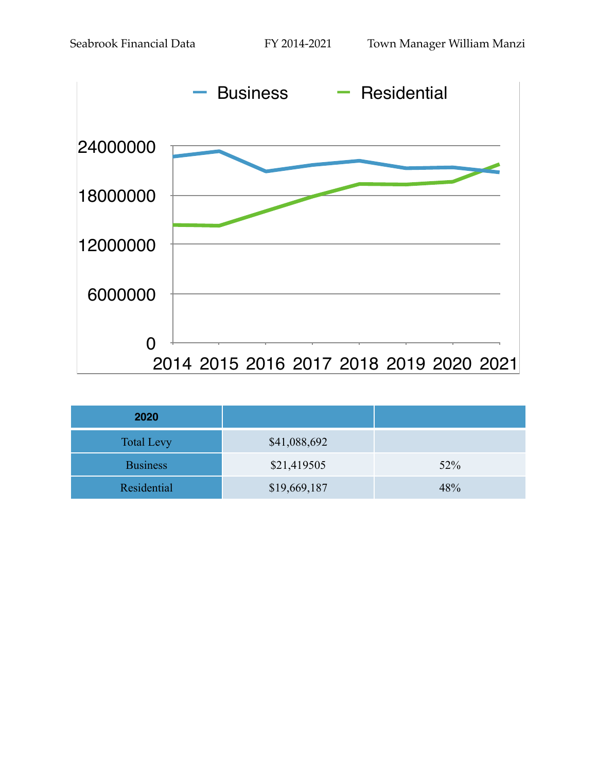

| 2020              |              |     |
|-------------------|--------------|-----|
| <b>Total Levy</b> | \$41,088,692 |     |
| <b>Business</b>   | \$21,419505  | 52% |
| Residential       | \$19,669,187 | 48% |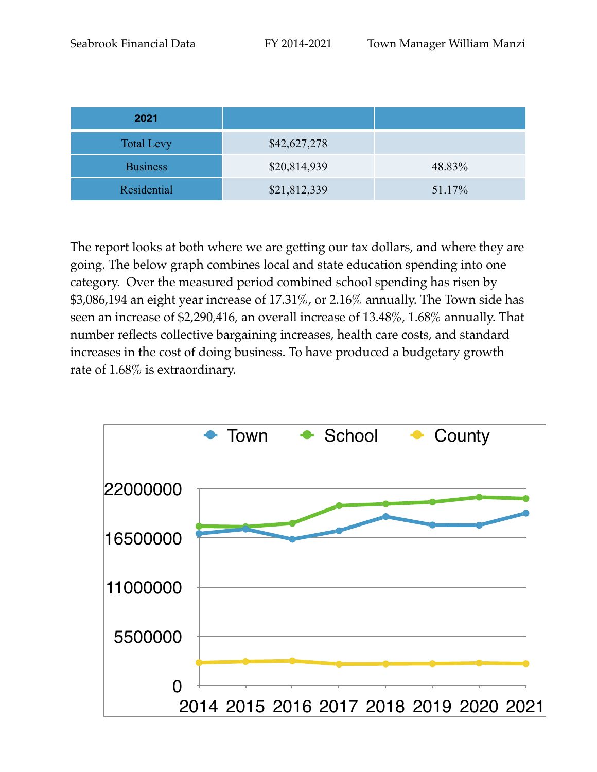| 2021               |              |        |
|--------------------|--------------|--------|
| <b>Total Levy</b>  | \$42,627,278 |        |
| <b>Business</b>    | \$20,814,939 | 48.83% |
| <b>Residential</b> | \$21,812,339 | 51.17% |

The report looks at both where we are getting our tax dollars, and where they are going. The below graph combines local and state education spending into one category. Over the measured period combined school spending has risen by \$3,086,194 an eight year increase of 17.31%, or 2.16% annually. The Town side has seen an increase of \$2,290,416, an overall increase of 13.48%, 1.68% annually. That number reflects collective bargaining increases, health care costs, and standard increases in the cost of doing business. To have produced a budgetary growth rate of 1.68% is extraordinary.

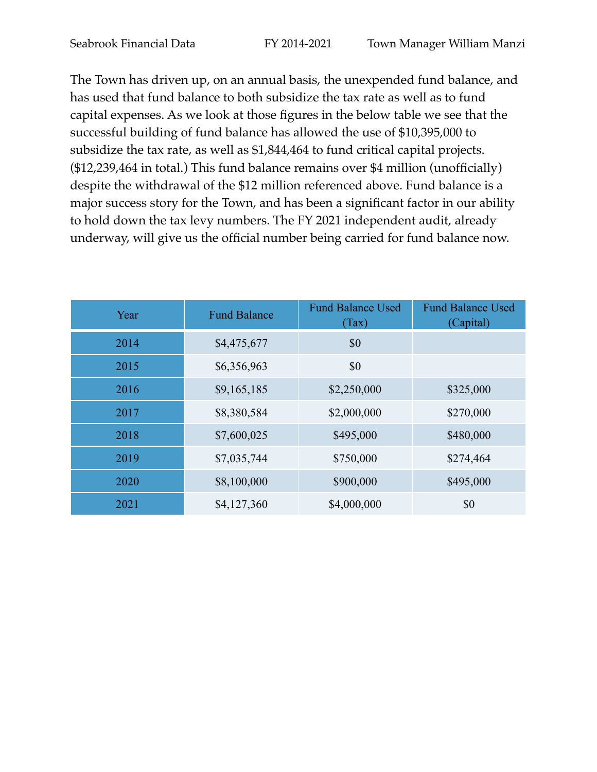The Town has driven up, on an annual basis, the unexpended fund balance, and has used that fund balance to both subsidize the tax rate as well as to fund capital expenses. As we look at those figures in the below table we see that the successful building of fund balance has allowed the use of \$10,395,000 to subsidize the tax rate, as well as \$1,844,464 to fund critical capital projects. (\$12,239,464 in total.) This fund balance remains over \$4 million (unofficially) despite the withdrawal of the \$12 million referenced above. Fund balance is a major success story for the Town, and has been a significant factor in our ability to hold down the tax levy numbers. The FY 2021 independent audit, already underway, will give us the official number being carried for fund balance now.

| Year | <b>Fund Balance</b> | <b>Fund Balance Used</b><br>(Tax) | <b>Fund Balance Used</b><br>(Capital) |
|------|---------------------|-----------------------------------|---------------------------------------|
| 2014 | \$4,475,677         | \$0                               |                                       |
| 2015 | \$6,356,963         | \$0                               |                                       |
| 2016 | \$9,165,185         | \$2,250,000                       | \$325,000                             |
| 2017 | \$8,380,584         | \$2,000,000                       | \$270,000                             |
| 2018 | \$7,600,025         | \$495,000                         | \$480,000                             |
| 2019 | \$7,035,744         | \$750,000                         | \$274,464                             |
| 2020 | \$8,100,000         | \$900,000                         | \$495,000                             |
| 2021 | \$4,127,360         | \$4,000,000                       | \$0                                   |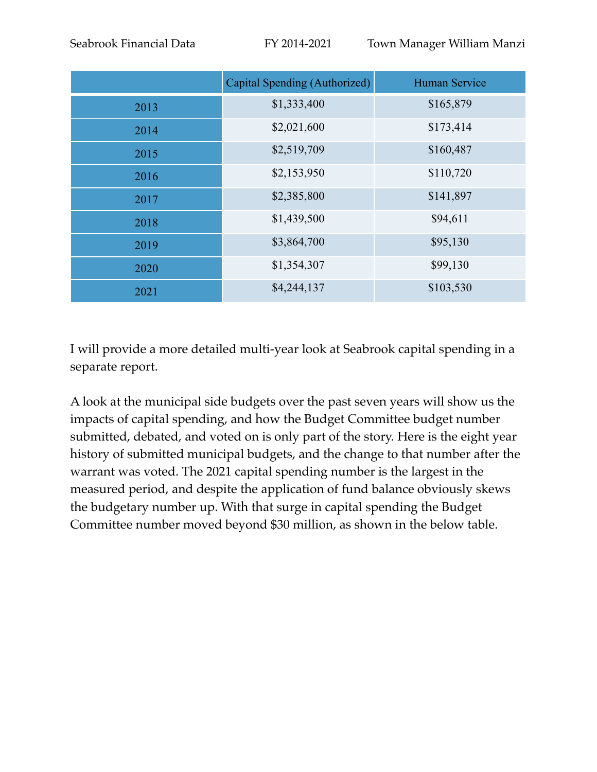|      | Capital Spending (Authorized) | <b>Human Service</b> |
|------|-------------------------------|----------------------|
| 2013 | \$1,333,400                   | \$165,879            |
| 2014 | \$2,021,600                   | \$173,414            |
| 2015 | \$2,519,709                   | \$160,487            |
| 2016 | \$2,153,950                   | \$110,720            |
| 2017 | \$2,385,800                   | \$141,897            |
| 2018 | \$1,439,500                   | \$94,611             |
| 2019 | \$3,864,700                   | \$95,130             |
| 2020 | \$1,354,307                   | \$99,130             |
| 2021 | \$4,244,137                   | \$103,530            |

I will provide a more detailed multi-year look at Seabrook capital spending in a separate report.

A look at the municipal side budgets over the past seven years will show us the impacts of capital spending, and how the Budget Committee budget number submitted, debated, and voted on is only part of the story. Here is the eight year history of submitted municipal budgets, and the change to that number after the warrant was voted. The 2021 capital spending number is the largest in the measured period, and despite the application of fund balance obviously skews the budgetary number up. With that surge in capital spending the Budget Committee number moved beyond \$30 million, as shown in the below table.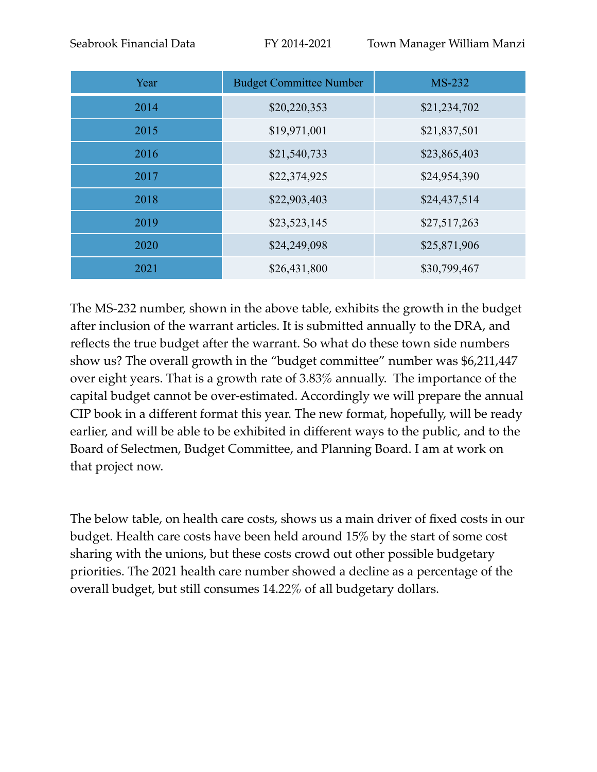Seabrook Financial Data FY 2014-2021 Town Manager William Manzi

| Year | <b>Budget Committee Number</b> | <b>MS-232</b> |
|------|--------------------------------|---------------|
| 2014 | \$20,220,353                   | \$21,234,702  |
| 2015 | \$19,971,001                   | \$21,837,501  |
| 2016 | \$21,540,733                   | \$23,865,403  |
| 2017 | \$22,374,925                   | \$24,954,390  |
| 2018 | \$22,903,403                   | \$24,437,514  |
| 2019 | \$23,523,145                   | \$27,517,263  |
| 2020 | \$24,249,098                   | \$25,871,906  |
| 2021 | \$26,431,800                   | \$30,799,467  |

The MS-232 number, shown in the above table, exhibits the growth in the budget after inclusion of the warrant articles. It is submitted annually to the DRA, and reflects the true budget after the warrant. So what do these town side numbers show us? The overall growth in the "budget committee" number was \$6,211,447 over eight years. That is a growth rate of 3.83% annually. The importance of the capital budget cannot be over-estimated. Accordingly we will prepare the annual CIP book in a different format this year. The new format, hopefully, will be ready earlier, and will be able to be exhibited in different ways to the public, and to the Board of Selectmen, Budget Committee, and Planning Board. I am at work on that project now.

The below table, on health care costs, shows us a main driver of fixed costs in our budget. Health care costs have been held around 15% by the start of some cost sharing with the unions, but these costs crowd out other possible budgetary priorities. The 2021 health care number showed a decline as a percentage of the overall budget, but still consumes 14.22% of all budgetary dollars.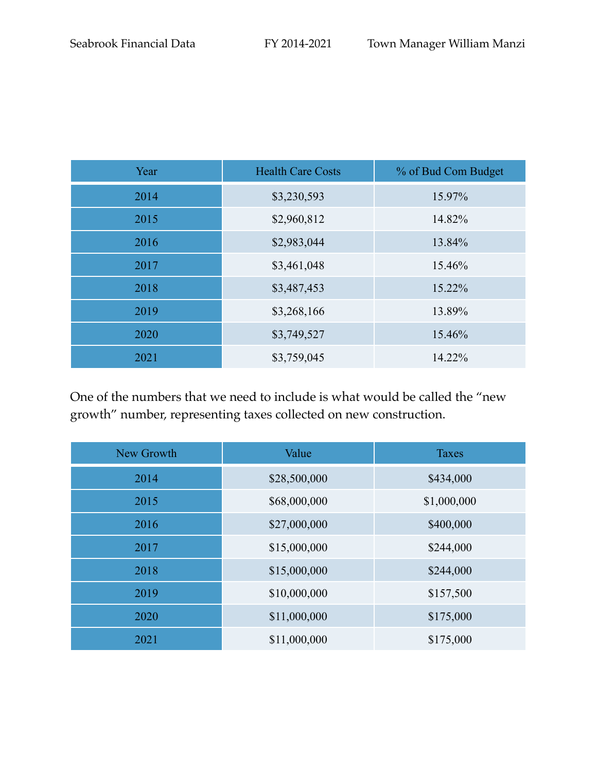| Year | <b>Health Care Costs</b> | % of Bud Com Budget |
|------|--------------------------|---------------------|
| 2014 | \$3,230,593              | 15.97%              |
| 2015 | \$2,960,812              | 14.82%              |
| 2016 | \$2,983,044              | 13.84%              |
| 2017 | \$3,461,048              | 15.46%              |
| 2018 | \$3,487,453              | 15.22%              |
| 2019 | \$3,268,166              | 13.89%              |
| 2020 | \$3,749,527              | 15.46%              |
| 2021 | \$3,759,045              | 14.22%              |

One of the numbers that we need to include is what would be called the "new growth" number, representing taxes collected on new construction.

| New Growth | Value        | <b>Taxes</b> |
|------------|--------------|--------------|
| 2014       | \$28,500,000 | \$434,000    |
| 2015       | \$68,000,000 | \$1,000,000  |
| 2016       | \$27,000,000 | \$400,000    |
| 2017       | \$15,000,000 | \$244,000    |
| 2018       | \$15,000,000 | \$244,000    |
| 2019       | \$10,000,000 | \$157,500    |
| 2020       | \$11,000,000 | \$175,000    |
| 2021       | \$11,000,000 | \$175,000    |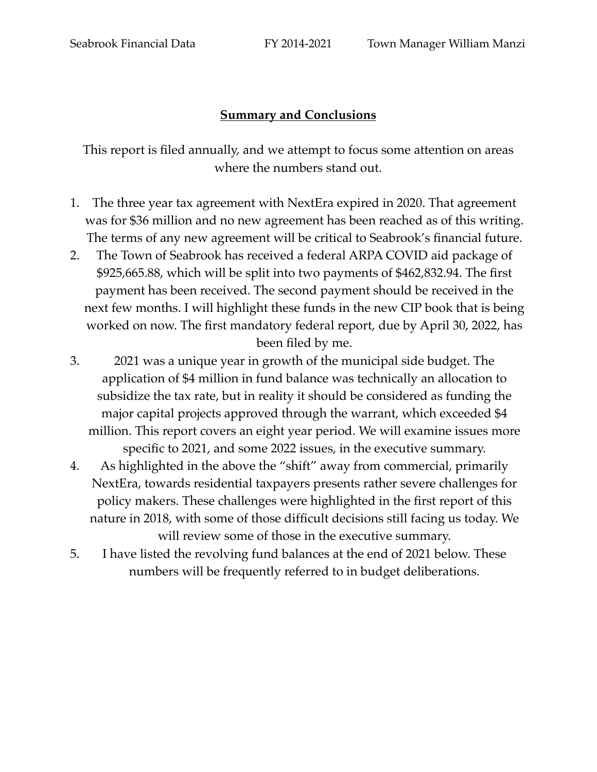## **Summary and Conclusions**

This report is filed annually, and we attempt to focus some attention on areas where the numbers stand out.

- 1. The three year tax agreement with NextEra expired in 2020. That agreement was for \$36 million and no new agreement has been reached as of this writing. The terms of any new agreement will be critical to Seabrook's financial future.
- 2. The Town of Seabrook has received a federal ARPA COVID aid package of \$925,665.88, which will be split into two payments of \$462,832.94. The first payment has been received. The second payment should be received in the next few months. I will highlight these funds in the new CIP book that is being worked on now. The first mandatory federal report, due by April 30, 2022, has been filed by me.
- 3. 2021 was a unique year in growth of the municipal side budget. The application of \$4 million in fund balance was technically an allocation to subsidize the tax rate, but in reality it should be considered as funding the major capital projects approved through the warrant, which exceeded \$4 million. This report covers an eight year period. We will examine issues more specific to 2021, and some 2022 issues, in the executive summary.
- 4. As highlighted in the above the "shift" away from commercial, primarily NextEra, towards residential taxpayers presents rather severe challenges for policy makers. These challenges were highlighted in the first report of this nature in 2018, with some of those difficult decisions still facing us today. We will review some of those in the executive summary.
- 5. I have listed the revolving fund balances at the end of 2021 below. These numbers will be frequently referred to in budget deliberations.